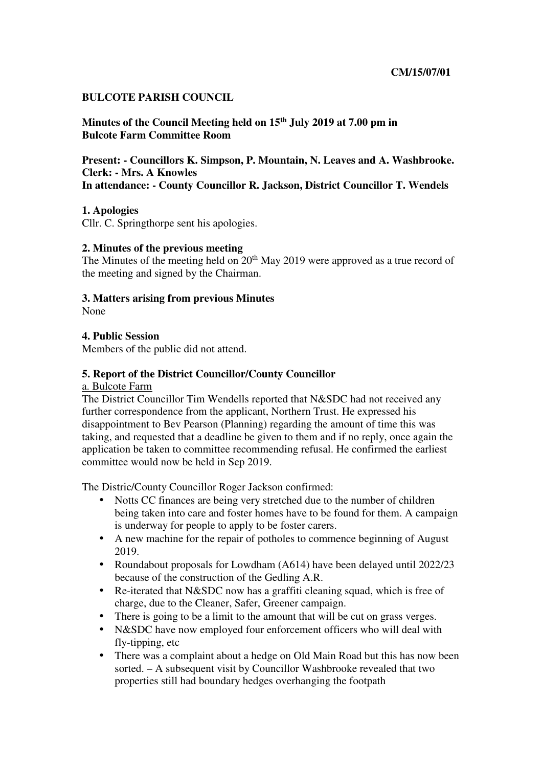### **BULCOTE PARISH COUNCIL**

**Minutes of the Council Meeting held on 15th July 2019 at 7.00 pm in Bulcote Farm Committee Room** 

**Present: - Councillors K. Simpson, P. Mountain, N. Leaves and A. Washbrooke. Clerk: - Mrs. A Knowles In attendance: - County Councillor R. Jackson, District Councillor T. Wendels** 

### **1. Apologies**

Cllr. C. Springthorpe sent his apologies.

### **2. Minutes of the previous meeting**

The Minutes of the meeting held on 20<sup>th</sup> May 2019 were approved as a true record of the meeting and signed by the Chairman.

#### **3. Matters arising from previous Minutes**

None

### **4. Public Session**

Members of the public did not attend.

### **5. Report of the District Councillor/County Councillor**

a. Bulcote Farm

The District Councillor Tim Wendells reported that N&SDC had not received any further correspondence from the applicant, Northern Trust. He expressed his disappointment to Bev Pearson (Planning) regarding the amount of time this was taking, and requested that a deadline be given to them and if no reply, once again the application be taken to committee recommending refusal. He confirmed the earliest committee would now be held in Sep 2019.

The Distric/County Councillor Roger Jackson confirmed:

- Notts CC finances are being very stretched due to the number of children being taken into care and foster homes have to be found for them. A campaign is underway for people to apply to be foster carers.
- A new machine for the repair of potholes to commence beginning of August 2019.
- Roundabout proposals for Lowdham (A614) have been delayed until 2022/23 because of the construction of the Gedling A.R.
- Re-iterated that N&SDC now has a graffiti cleaning squad, which is free of charge, due to the Cleaner, Safer, Greener campaign.
- There is going to be a limit to the amount that will be cut on grass verges.
- N&SDC have now employed four enforcement officers who will deal with fly-tipping, etc
- There was a complaint about a hedge on Old Main Road but this has now been sorted. – A subsequent visit by Councillor Washbrooke revealed that two properties still had boundary hedges overhanging the footpath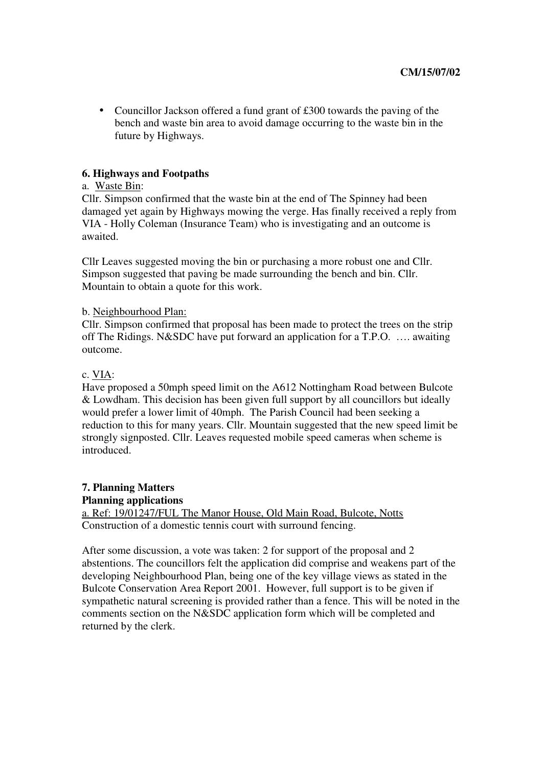• Councillor Jackson offered a fund grant of £300 towards the paving of the bench and waste bin area to avoid damage occurring to the waste bin in the future by Highways.

### **6. Highways and Footpaths**

### a. Waste Bin:

Cllr. Simpson confirmed that the waste bin at the end of The Spinney had been damaged yet again by Highways mowing the verge. Has finally received a reply from VIA - Holly Coleman (Insurance Team) who is investigating and an outcome is awaited.

Cllr Leaves suggested moving the bin or purchasing a more robust one and Cllr. Simpson suggested that paving be made surrounding the bench and bin. Cllr. Mountain to obtain a quote for this work.

### b. Neighbourhood Plan:

Cllr. Simpson confirmed that proposal has been made to protect the trees on the strip off The Ridings. N&SDC have put forward an application for a T.P.O. …. awaiting outcome.

### c. VIA:

Have proposed a 50mph speed limit on the A612 Nottingham Road between Bulcote & Lowdham. This decision has been given full support by all councillors but ideally would prefer a lower limit of 40mph. The Parish Council had been seeking a reduction to this for many years. Cllr. Mountain suggested that the new speed limit be strongly signposted. Cllr. Leaves requested mobile speed cameras when scheme is introduced.

# **7. Planning Matters Planning applications**

a. Ref: 19/01247/FUL The Manor House, Old Main Road, Bulcote, Notts Construction of a domestic tennis court with surround fencing.

After some discussion, a vote was taken: 2 for support of the proposal and 2 abstentions. The councillors felt the application did comprise and weakens part of the developing Neighbourhood Plan, being one of the key village views as stated in the Bulcote Conservation Area Report 2001. However, full support is to be given if sympathetic natural screening is provided rather than a fence. This will be noted in the comments section on the N&SDC application form which will be completed and returned by the clerk.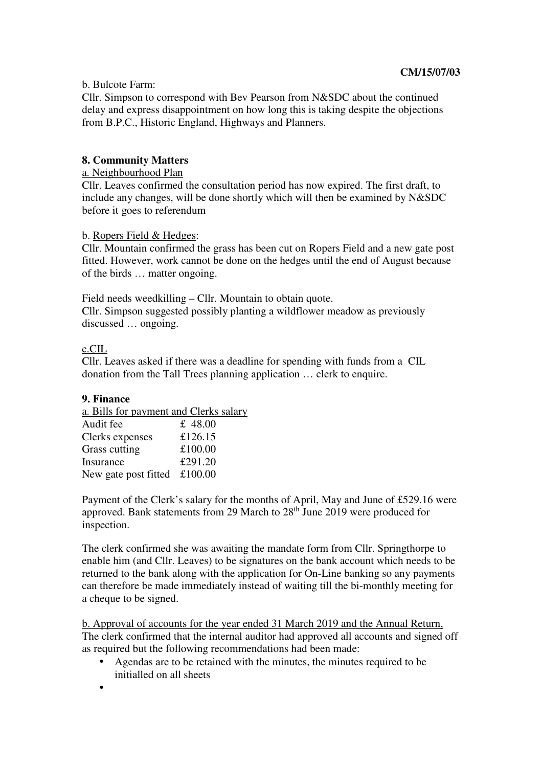## b. Bulcote Farm:

Cllr. Simpson to correspond with Bev Pearson from N&SDC about the continued delay and express disappointment on how long this is taking despite the objections from B.P.C., Historic England, Highways and Planners.

# **8. Community Matters**

## a. Neighbourhood Plan

Cllr. Leaves confirmed the consultation period has now expired. The first draft, to include any changes, will be done shortly which will then be examined by N&SDC before it goes to referendum

### b. Ropers Field & Hedges:

Cllr. Mountain confirmed the grass has been cut on Ropers Field and a new gate post fitted. However, work cannot be done on the hedges until the end of August because of the birds … matter ongoing.

Field needs weedkilling – Cllr. Mountain to obtain quote. Cllr. Simpson suggested possibly planting a wildflower meadow as previously discussed … ongoing.

## c.CIL

Cllr. Leaves asked if there was a deadline for spending with funds from a CIL donation from the Tall Trees planning application … clerk to enquire.

## **9. Finance**

| a. Bills for payment and Clerks salary |         |
|----------------------------------------|---------|
| Audit fee                              | £ 48.00 |
| Clerks expenses                        | £126.15 |
| Grass cutting                          | £100.00 |
| Insurance                              | £291.20 |
| New gate post fitted $£100.00$         |         |

Payment of the Clerk's salary for the months of April, May and June of £529.16 were approved. Bank statements from 29 March to 28<sup>th</sup> June 2019 were produced for inspection.

The clerk confirmed she was awaiting the mandate form from Cllr. Springthorpe to enable him (and Cllr. Leaves) to be signatures on the bank account which needs to be returned to the bank along with the application for On-Line banking so any payments can therefore be made immediately instead of waiting till the bi-monthly meeting for a cheque to be signed.

b. Approval of accounts for the year ended 31 March 2019 and the Annual Return, The clerk confirmed that the internal auditor had approved all accounts and signed off as required but the following recommendations had been made:

- Agendas are to be retained with the minutes, the minutes required to be initialled on all sheets
- •